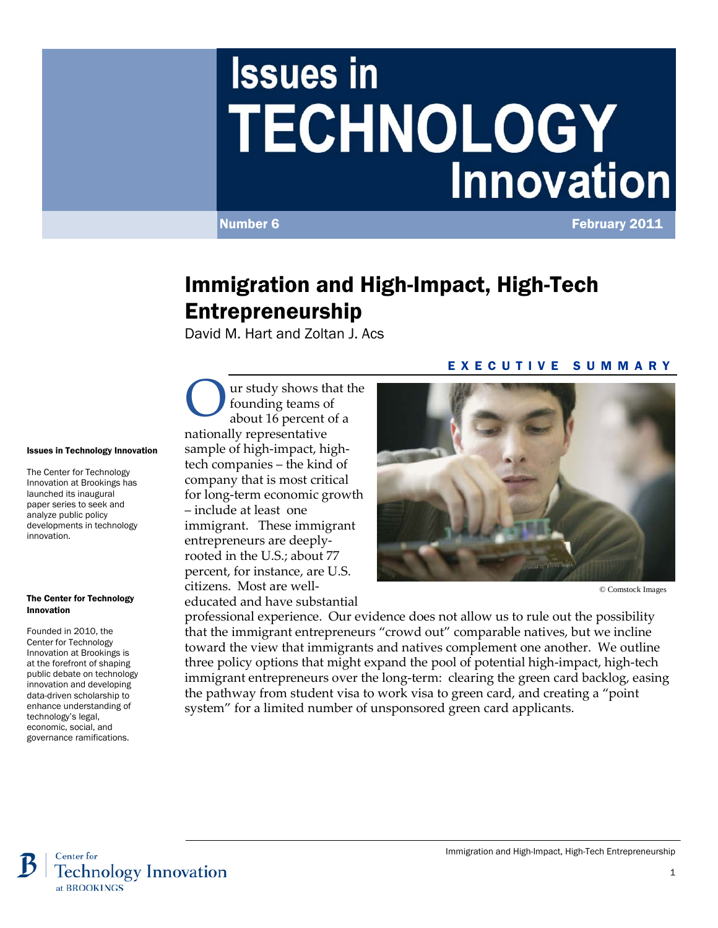# **Issues in TECHNOLOGY Innovation**

Number 6 **February 2011** 

## Immigration and High-Impact, High-Tech Entrepreneurship

David M. Hart and Zoltan J. Acs

#### Issues in Technology Innovation

The Center for Technology Innovation at Brookings has launched its inaugural paper series to seek and analyze public policy developments in technology innovation.

#### The Center for Technology Innovation

Founded in 2010, the Center for Technology Innovation at Brookings is at the forefront of shaping public debate on technology innovation and developing data-driven scholarship to enhance understanding of technology's legal, economic, social, and governance ramifications.

ur study shows that the founding teams of about 16 percent of a nationally representative sample of high-impact, hightech companies – the kind of company that is most critical for long-term economic growth – include at least one immigrant. These immigrant entrepreneurs are deeplyrooted in the U.S.; about 77 percent, for instance, are U.S. citizens. Most are well-O

educated and have substantial

#### EXECUTIVE SUMMARY



© Comstock Images

professional experience. Our evidence does not allow us to rule out the possibility that the immigrant entrepreneurs "crowd out" comparable natives, but we incline toward the view that immigrants and natives complement one another. We outline three policy options that might expand the pool of potential high-impact, high-tech immigrant entrepreneurs over the long-term: clearing the green card backlog, easing the pathway from student visa to work visa to green card, and creating a "point system" for a limited number of unsponsored green card applicants.



Immigration and High-Impact, High-Tech Entrepreneurship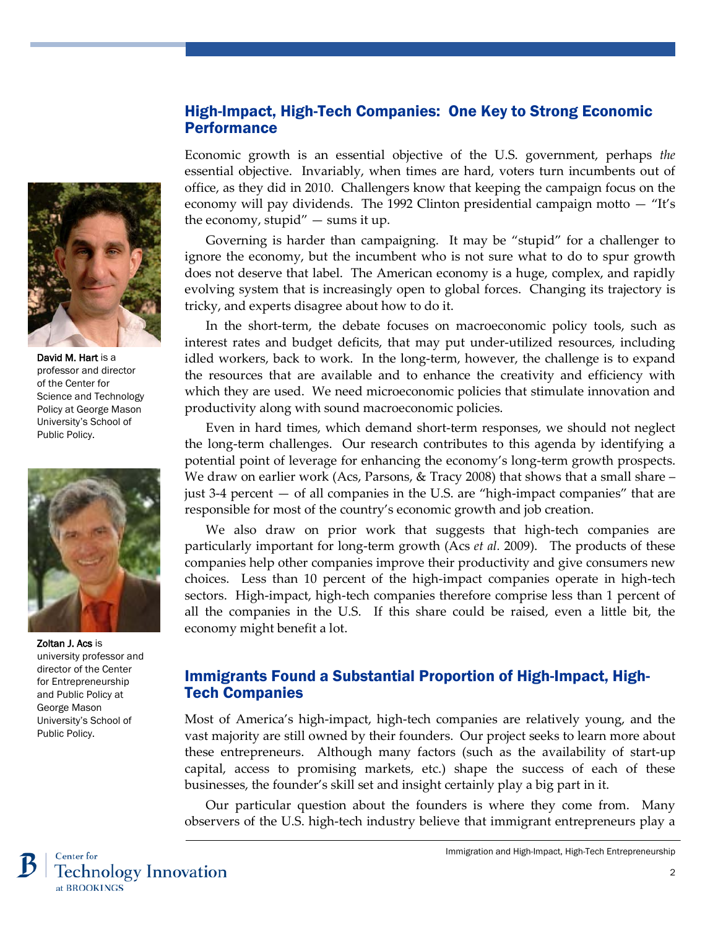#### High-Impact, High-Tech Companies: One Key to Strong Economic **Performance**

Economic growth is an essential objective of the U.S. government, perhaps *the*  essential objective. Invariably, when times are hard, voters turn incumbents out of office, as they did in 2010. Challengers know that keeping the campaign focus on the economy will pay dividends. The 1992 Clinton presidential campaign motto — "It's the economy, stupid"  $-$  sums it up.

Governing is harder than campaigning. It may be "stupid" for a challenger to ignore the economy, but the incumbent who is not sure what to do to spur growth does not deserve that label. The American economy is a huge, complex, and rapidly evolving system that is increasingly open to global forces. Changing its trajectory is tricky, and experts disagree about how to do it.

In the short-term, the debate focuses on macroeconomic policy tools, such as interest rates and budget deficits, that may put under-utilized resources, including idled workers, back to work. In the long-term, however, the challenge is to expand the resources that are available and to enhance the creativity and efficiency with which they are used. We need microeconomic policies that stimulate innovation and productivity along with sound macroeconomic policies.

Even in hard times, which demand short-term responses, we should not neglect the long-term challenges. Our research contributes to this agenda by identifying a potential point of leverage for enhancing the economy's long-term growth prospects. We draw on earlier work (Acs, Parsons, & Tracy 2008) that shows that a small share – just 3-4 percent — of all companies in the U.S. are "high-impact companies" that are responsible for most of the country's economic growth and job creation.

We also draw on prior work that suggests that high-tech companies are particularly important for long-term growth (Acs *et al.* 2009). The products of these companies help other companies improve their productivity and give consumers new choices. Less than 10 percent of the high-impact companies operate in high-tech sectors. High-impact, high-tech companies therefore comprise less than 1 percent of all the companies in the U.S. If this share could be raised, even a little bit, the economy might benefit a lot.

## Immigrants Found a Substantial Proportion of High-Impact, High-Tech Companies

Most of America's high-impact, high-tech companies are relatively young, and the vast majority are still owned by their founders. Our project seeks to learn more about these entrepreneurs. Although many factors (such as the availability of start-up capital, access to promising markets, etc.) shape the success of each of these businesses, the founder's skill set and insight certainly play a big part in it.

Our particular question about the founders is where they come from. Many observers of the U.S. high-tech industry believe that immigrant entrepreneurs play a







Zoltan J. Acs is university professor and director of the Center for Entrepreneurship and Public Policy at George Mason University's School of Public Policy.

Immigration and High-Impact, High-Tech Entrepreneurship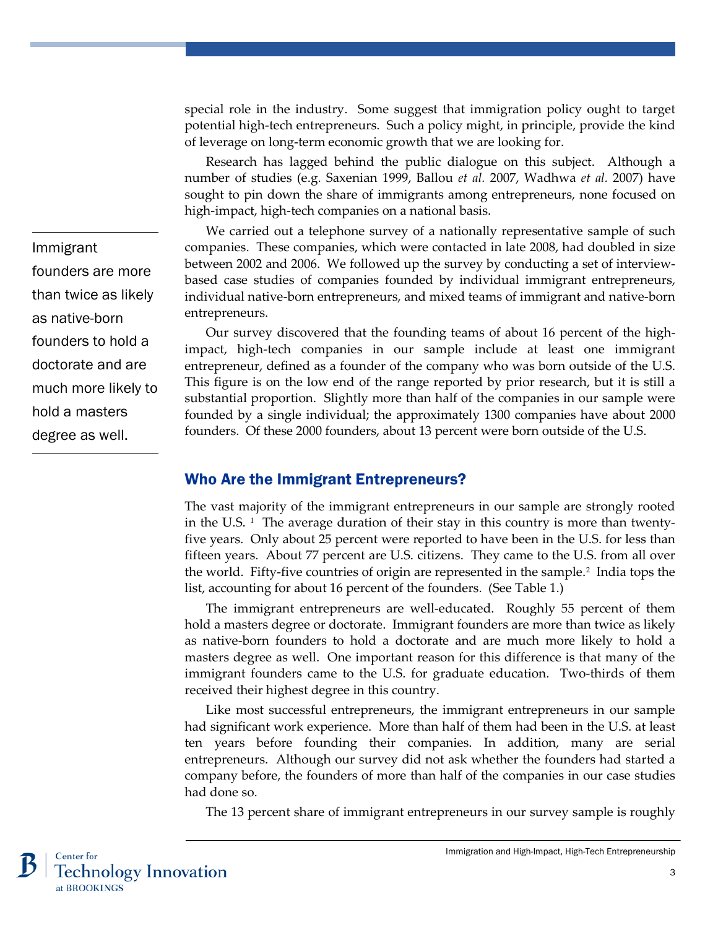special role in the industry. Some suggest that immigration policy ought to target potential high-tech entrepreneurs. Such a policy might, in principle, provide the kind of leverage on long-term economic growth that we are looking for.

Research has lagged behind the public dialogue on this subject. Although a number of studies (e.g. Saxenian 1999, Ballou *et al.* 2007, Wadhwa *et al.* 2007) have sought to pin down the share of immigrants among entrepreneurs, none focused on high-impact, high-tech companies on a national basis.

We carried out a telephone survey of a nationally representative sample of such companies. These companies, which were contacted in late 2008, had doubled in size between 2002 and 2006. We followed up the survey by conducting a set of interviewbased case studies of companies founded by individual immigrant entrepreneurs, individual native-born entrepreneurs, and mixed teams of immigrant and native-born entrepreneurs.

Our survey discovered that the founding teams of about 16 percent of the highimpact, high-tech companies in our sample include at least one immigrant entrepreneur, defined as a founder of the company who was born outside of the U.S. This figure is on the low end of the range reported by prior research, but it is still a substantial proportion. Slightly more than half of the companies in our sample were founded by a single individual; the approximately 1300 companies have about 2000 founders. Of these 2000 founders, about 13 percent were born outside of the U.S.

#### Who Are the Immigrant Entrepreneurs?

The vast majority of the immigrant entrepreneurs in our sample are strongly rooted in the U.S.  $\,$ <sup>1</sup> The average duration of their stay in this country is more than twentyfive years. Only about 25 percent were reported to have been in the U.S. for less than fifteen years. About 77 percent are U.S. citizens. They came to the U.S. from all over the world. Fifty-five countries of origin are represented in the sample.<sup>[2](#page-10-1)</sup> India tops the list, accounting for about 16 percent of the founders. (See Table 1.)

The immigrant entrepreneurs are well-educated. Roughly 55 percent of them hold a masters degree or doctorate. Immigrant founders are more than twice as likely as native-born founders to hold a doctorate and are much more likely to hold a masters degree as well. One important reason for this difference is that many of the immigrant founders came to the U.S. for graduate education. Two-thirds of them received their highest degree in this country.

Like most successful entrepreneurs, the immigrant entrepreneurs in our sample had significant work experience. More than half of them had been in the U.S. at least ten years before founding their companies. In addition, many are serial entrepreneurs. Although our survey did not ask whether the founders had started a company before, the founders of more than half of the companies in our case studies had done so.

The 13 percent share of immigrant entrepreneurs in our survey sample is roughly



Immigrant founders are more than twice as likely as native-born founders to hold a doctorate and are much more likely to hold a masters degree as well.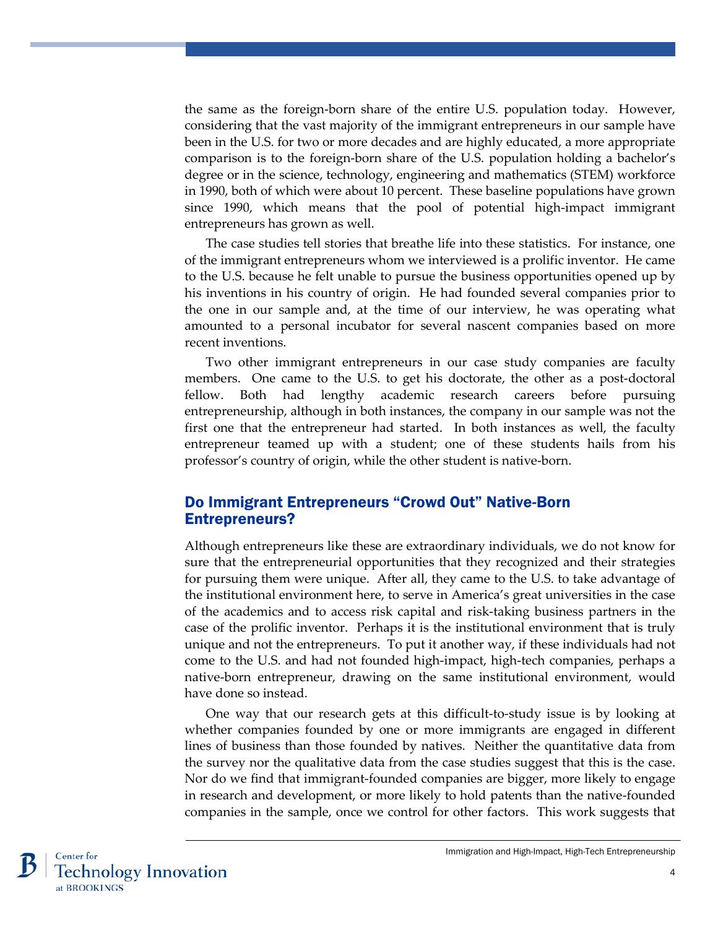the same as the foreign-born share of the entire U.S. population today. However, considering that the vast majority of the immigrant entrepreneurs in our sample have been in the U.S. for two or more decades and are highly educated, a more appropriate comparison is to the foreign-born share of the U.S. population holding a bachelor's degree or in the science, technology, engineering and mathematics (STEM) workforce in 1990, both of which were about 10 percent. These baseline populations have grown since 1990, which means that the pool of potential high-impact immigrant entrepreneurs has grown as well.

The case studies tell stories that breathe life into these statistics. For instance, one of the immigrant entrepreneurs whom we interviewed is a prolific inventor. He came to the U.S. because he felt unable to pursue the business opportunities opened up by his inventions in his country of origin. He had founded several companies prior to the one in our sample and, at the time of our interview, he was operating what amounted to a personal incubator for several nascent companies based on more recent inventions.

Two other immigrant entrepreneurs in our case study companies are faculty members. One came to the U.S. to get his doctorate, the other as a post-doctoral fellow. Both had lengthy academic research careers before pursuing entrepreneurship, although in both instances, the company in our sample was not the first one that the entrepreneur had started. In both instances as well, the faculty entrepreneur teamed up with a student; one of these students hails from his professor's country of origin, while the other student is native-born.

## Do Immigrant Entrepreneurs "Crowd Out" Native-Born Entrepreneurs?

Although entrepreneurs like these are extraordinary individuals, we do not know for sure that the entrepreneurial opportunities that they recognized and their strategies for pursuing them were unique. After all, they came to the U.S. to take advantage of the institutional environment here, to serve in America's great universities in the case of the academics and to access risk capital and risk-taking business partners in the case of the prolific inventor. Perhaps it is the institutional environment that is truly unique and not the entrepreneurs. To put it another way, if these individuals had not come to the U.S. and had not founded high-impact, high-tech companies, perhaps a native-born entrepreneur, drawing on the same institutional environment, would have done so instead.

One way that our research gets at this difficult-to-study issue is by looking at whether companies founded by one or more immigrants are engaged in different lines of business than those founded by natives. Neither the quantitative data from the survey nor the qualitative data from the case studies suggest that this is the case. Nor do we find that immigrant-founded companies are bigger, more likely to engage in research and development, or more likely to hold patents than the native-founded companies in the sample, once we control for other factors. This work suggests that

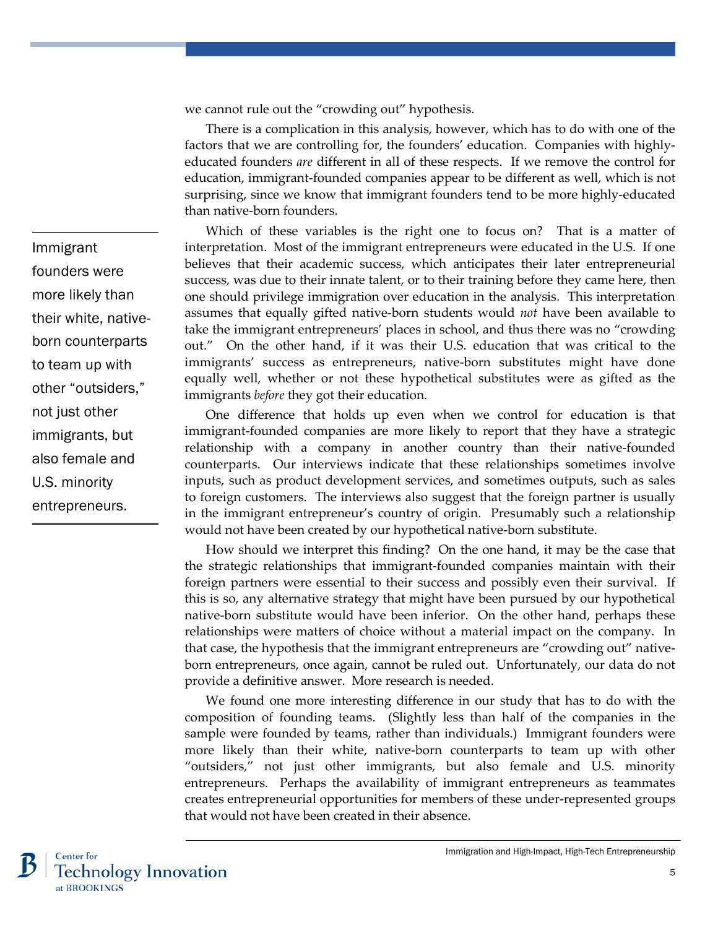we cannot rule out the "crowding out" hypothesis.

There is a complication in this analysis, however, which has to do with one of the factors that we are controlling for, the founders' education. Companies with highlyeducated founders *are* different in all of these respects. If we remove the control for education, immigrant-founded companies appear to be different as well, which is not surprising, since we know that immigrant founders tend to be more highly-educated than native-born founders.

Which of these variables is the right one to focus on? That is a matter of interpretation. Most of the immigrant entrepreneurs were educated in the U.S. If one believes that their academic success, which anticipates their later entrepreneurial success, was due to their innate talent, or to their training before they came here, then one should privilege immigration over education in the analysis. This interpretation assumes that equally gifted native-born students would *not* have been available to take the immigrant entrepreneurs' places in school, and thus there was no "crowding out." On the other hand, if it was their U.S. education that was critical to the immigrants' success as entrepreneurs, native-born substitutes might have done equally well, whether or not these hypothetical substitutes were as gifted as the immigrants *before* they got their education.

One difference that holds up even when we control for education is that immigrant-founded companies are more likely to report that they have a strategic relationship with a company in another country than their native-founded counterparts. Our interviews indicate that these relationships sometimes involve inputs, such as product development services, and sometimes outputs, such as sales to foreign customers. The interviews also suggest that the foreign partner is usually in the immigrant entrepreneur's country of origin. Presumably such a relationship would not have been created by our hypothetical native-born substitute.

How should we interpret this finding? On the one hand, it may be the case that the strategic relationships that immigrant-founded companies maintain with their foreign partners were essential to their success and possibly even their survival. If this is so, any alternative strategy that might have been pursued by our hypothetical native-born substitute would have been inferior. On the other hand, perhaps these relationships were matters of choice without a material impact on the company. In that case, the hypothesis that the immigrant entrepreneurs are "crowding out" nativeborn entrepreneurs, once again, cannot be ruled out. Unfortunately, our data do not provide a definitive answer. More research is needed.

We found one more interesting difference in our study that has to do with the composition of founding teams. (Slightly less than half of the companies in the sample were founded by teams, rather than individuals.) Immigrant founders were more likely than their white, native-born counterparts to team up with other "outsiders," not just other immigrants, but also female and U.S. minority entrepreneurs. Perhaps the availability of immigrant entrepreneurs as teammates creates entrepreneurial opportunities for members of these under-represented groups that would not have been created in their absence.

5

Immigrant founders were more likely than their white, nativeborn counterparts to team up with other "outsiders," not just other immigrants, but also female and U.S. minority entrepreneurs.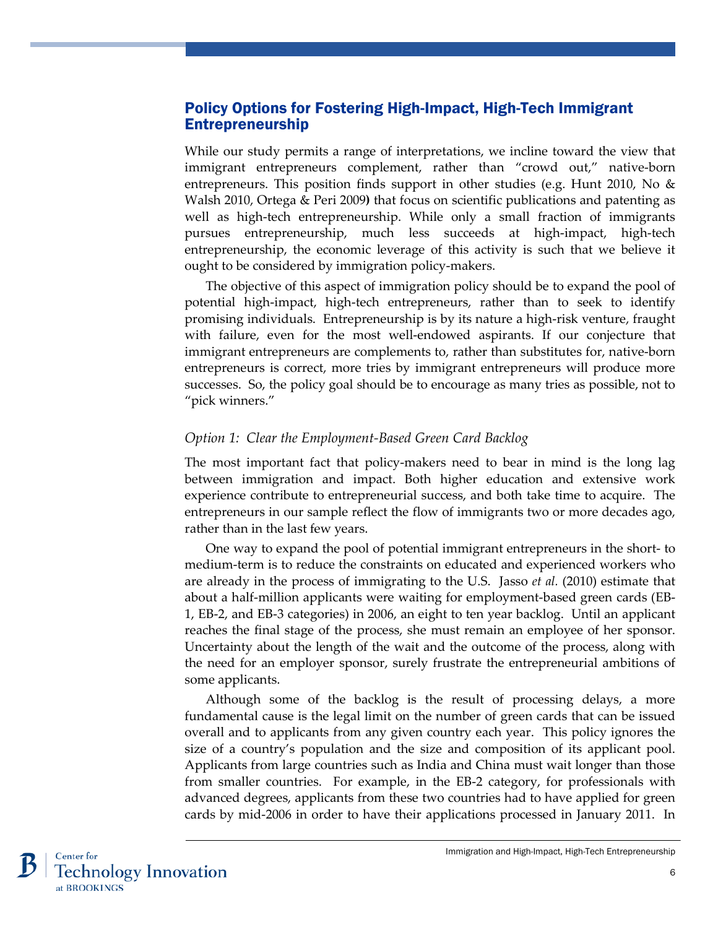## Policy Options for Fostering High-Impact, High-Tech Immigrant Entrepreneurship

While our study permits a range of interpretations, we incline toward the view that immigrant entrepreneurs complement, rather than "crowd out," native-born entrepreneurs. This position finds support in other studies (e.g. Hunt 2010, No & Walsh 2010, Ortega & Peri 2009**)** that focus on scientific publications and patenting as well as high-tech entrepreneurship. While only a small fraction of immigrants pursues entrepreneurship, much less succeeds at high-impact, high-tech entrepreneurship, the economic leverage of this activity is such that we believe it ought to be considered by immigration policy-makers.

The objective of this aspect of immigration policy should be to expand the pool of potential high-impact, high-tech entrepreneurs, rather than to seek to identify promising individuals. Entrepreneurship is by its nature a high-risk venture, fraught with failure, even for the most well-endowed aspirants. If our conjecture that immigrant entrepreneurs are complements to, rather than substitutes for, native-born entrepreneurs is correct, more tries by immigrant entrepreneurs will produce more successes. So, the policy goal should be to encourage as many tries as possible, not to "pick winners."

#### *Option 1: Clear the Employment-Based Green Card Backlog*

The most important fact that policy-makers need to bear in mind is the long lag between immigration and impact. Both higher education and extensive work experience contribute to entrepreneurial success, and both take time to acquire. The entrepreneurs in our sample reflect the flow of immigrants two or more decades ago, rather than in the last few years.

One way to expand the pool of potential immigrant entrepreneurs in the short- to medium-term is to reduce the constraints on educated and experienced workers who are already in the process of immigrating to the U.S. Jasso *et al.* (2010) estimate that about a half-million applicants were waiting for employment-based green cards (EB-1, EB-2, and EB-3 categories) in 2006, an eight to ten year backlog. Until an applicant reaches the final stage of the process, she must remain an employee of her sponsor. Uncertainty about the length of the wait and the outcome of the process, along with the need for an employer sponsor, surely frustrate the entrepreneurial ambitions of some applicants.

Although some of the backlog is the result of processing delays, a more fundamental cause is the legal limit on the number of green cards that can be issued overall and to applicants from any given country each year. This policy ignores the size of a country's population and the size and composition of its applicant pool. Applicants from large countries such as India and China must wait longer than those from smaller countries. For example, in the EB-2 category, for professionals with advanced degrees, applicants from these two countries had to have applied for green cards by mid-2006 in order to have their applications processed in January 2011. In

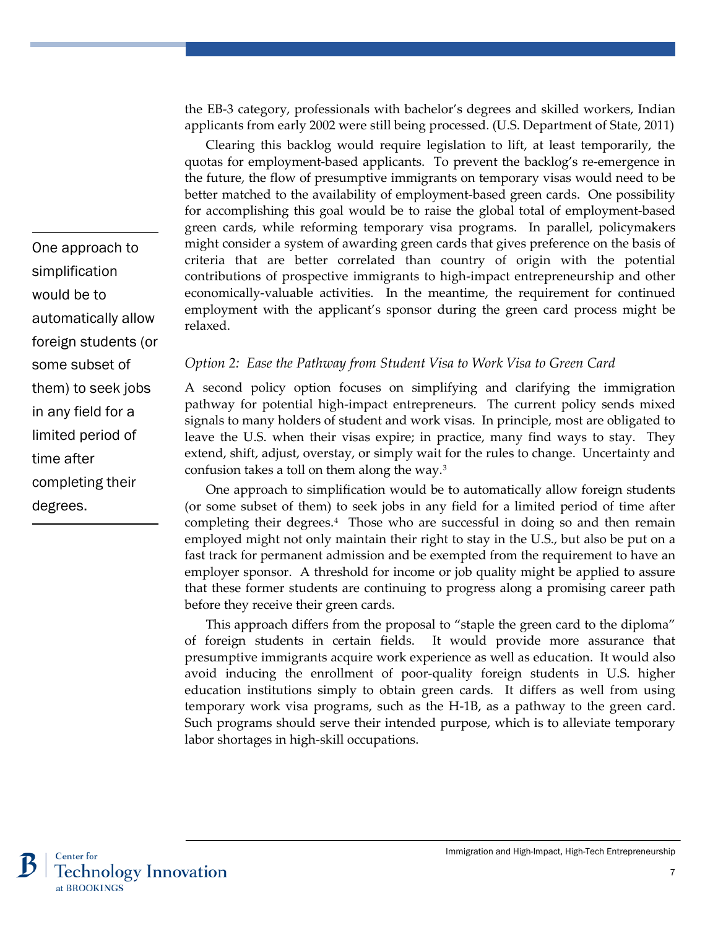the EB-3 category, professionals with bachelor's degrees and skilled workers, Indian applicants from early 2002 were still being processed. (U.S. Department of State, 2011)

Clearing this backlog would require legislation to lift, at least temporarily, the quotas for employment-based applicants. To prevent the backlog's re-emergence in the future, the flow of presumptive immigrants on temporary visas would need to be better matched to the availability of employment-based green cards. One possibility for accomplishing this goal would be to raise the global total of employment-based green cards, while reforming temporary visa programs. In parallel, policymakers might consider a system of awarding green cards that gives preference on the basis of criteria that are better correlated than country of origin with the potential contributions of prospective immigrants to high-impact entrepreneurship and other economically-valuable activities. In the meantime, the requirement for continued employment with the applicant's sponsor during the green card process might be relaxed.

*Option 2: Ease the Pathway from Student Visa to Work Visa to Green Card*

A second policy option focuses on simplifying and clarifying the immigration pathway for potential high-impact entrepreneurs. The current policy sends mixed signals to many holders of student and work visas. In principle, most are obligated to leave the U.S. when their visas expire; in practice, many find ways to stay. They extend, shift, adjust, overstay, or simply wait for the rules to change. Uncertainty and confusion takes a toll on them along the way.[3](#page-10-2)

One approach to simplification would be to automatically allow foreign students (or some subset of them) to seek jobs in any field for a limited period of time after completing their degrees.[4](#page-10-3) Those who are successful in doing so and then remain employed might not only maintain their right to stay in the U.S., but also be put on a fast track for permanent admission and be exempted from the requirement to have an employer sponsor. A threshold for income or job quality might be applied to assure that these former students are continuing to progress along a promising career path before they receive their green cards.

This approach differs from the proposal to "staple the green card to the diploma" of foreign students in certain fields. It would provide more assurance that presumptive immigrants acquire work experience as well as education. It would also avoid inducing the enrollment of poor-quality foreign students in U.S. higher education institutions simply to obtain green cards. It differs as well from using temporary work visa programs, such as the H-1B, as a pathway to the green card. Such programs should serve their intended purpose, which is to alleviate temporary labor shortages in high-skill occupations.

One approach to simplification would be to automatically allow foreign students (or some subset of them) to seek jobs in any field for a limited period of time after completing their degrees.

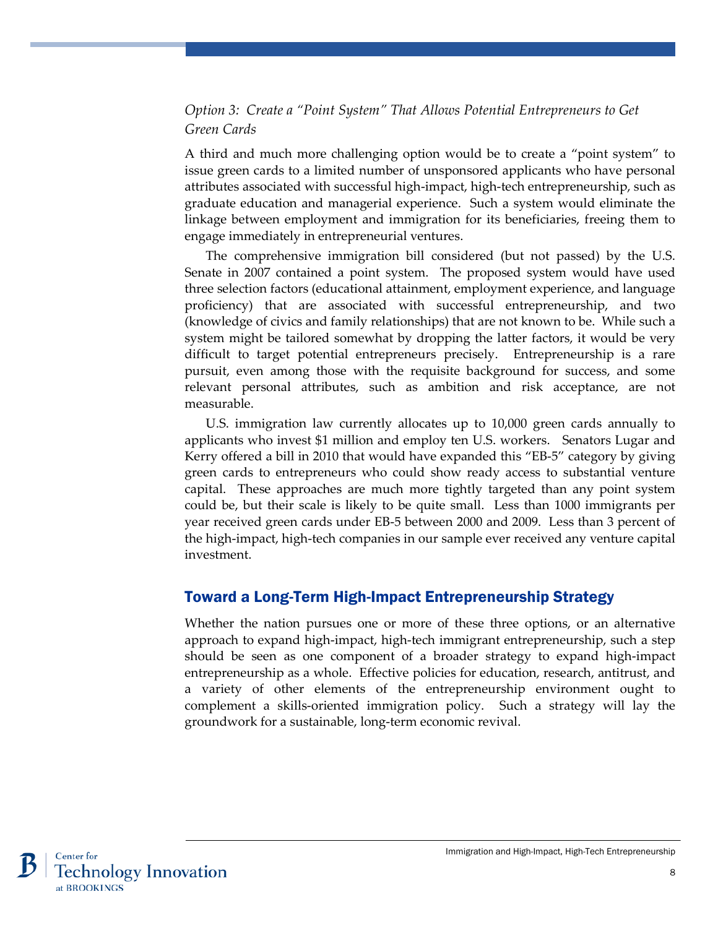## *Option 3: Create a "Point System" That Allows Potential Entrepreneurs to Get Green Cards*

A third and much more challenging option would be to create a "point system" to issue green cards to a limited number of unsponsored applicants who have personal attributes associated with successful high-impact, high-tech entrepreneurship, such as graduate education and managerial experience. Such a system would eliminate the linkage between employment and immigration for its beneficiaries, freeing them to engage immediately in entrepreneurial ventures.

The comprehensive immigration bill considered (but not passed) by the U.S. Senate in 2007 contained a point system. The proposed system would have used three selection factors (educational attainment, employment experience, and language proficiency) that are associated with successful entrepreneurship, and two (knowledge of civics and family relationships) that are not known to be. While such a system might be tailored somewhat by dropping the latter factors, it would be very difficult to target potential entrepreneurs precisely. Entrepreneurship is a rare pursuit, even among those with the requisite background for success, and some relevant personal attributes, such as ambition and risk acceptance, are not measurable.

U.S. immigration law currently allocates up to 10,000 green cards annually to applicants who invest \$1 million and employ ten U.S. workers. Senators Lugar and Kerry offered a bill in 2010 that would have expanded this "EB-5" category by giving green cards to entrepreneurs who could show ready access to substantial venture capital. These approaches are much more tightly targeted than any point system could be, but their scale is likely to be quite small. Less than 1000 immigrants per year received green cards under EB-5 between 2000 and 2009. Less than 3 percent of the high-impact, high-tech companies in our sample ever received any venture capital investment.

## Toward a Long-Term High-Impact Entrepreneurship Strategy

Whether the nation pursues one or more of these three options, or an alternative approach to expand high-impact, high-tech immigrant entrepreneurship, such a step should be seen as one component of a broader strategy to expand high-impact entrepreneurship as a whole. Effective policies for education, research, antitrust, and a variety of other elements of the entrepreneurship environment ought to complement a skills-oriented immigration policy. Such a strategy will lay the groundwork for a sustainable, long-term economic revival.

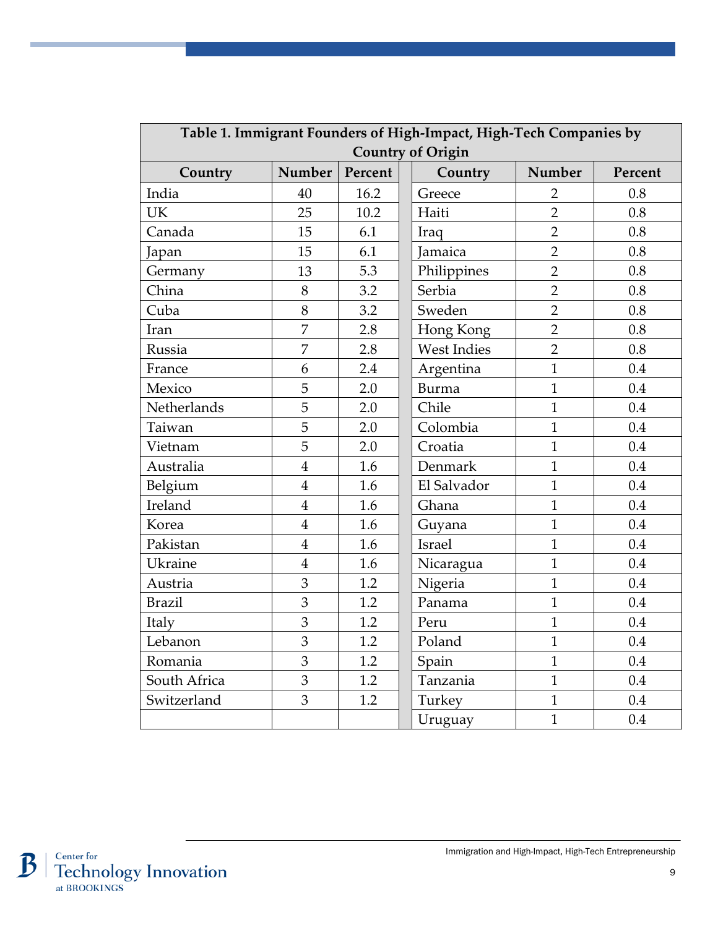| Table 1. Immigrant Founders of High-Impact, High-Tech Companies by |                |         |                    |                |         |
|--------------------------------------------------------------------|----------------|---------|--------------------|----------------|---------|
| <b>Country of Origin</b>                                           |                |         |                    |                |         |
| Country                                                            | Number         | Percent | Country            | Number         | Percent |
| India                                                              | 40             | 16.2    | Greece             | $\overline{2}$ | 0.8     |
| <b>UK</b>                                                          | 25             | 10.2    | Haiti              | $\overline{2}$ | 0.8     |
| Canada                                                             | 15             | 6.1     | Iraq               | $\overline{2}$ | 0.8     |
| Japan                                                              | 15             | 6.1     | Jamaica            | $\overline{2}$ | 0.8     |
| Germany                                                            | 13             | 5.3     | Philippines        | $\overline{2}$ | 0.8     |
| China                                                              | 8              | 3.2     | Serbia             | $\overline{2}$ | 0.8     |
| Cuba                                                               | 8              | 3.2     | Sweden             | $\overline{2}$ | 0.8     |
| Iran                                                               | $\overline{7}$ | 2.8     | Hong Kong          | $\overline{2}$ | 0.8     |
| Russia                                                             | 7              | 2.8     | <b>West Indies</b> | $\overline{2}$ | 0.8     |
| France                                                             | 6              | 2.4     | Argentina          | $\mathbf{1}$   | 0.4     |
| Mexico                                                             | 5              | 2.0     | <b>Burma</b>       | $\mathbf{1}$   | 0.4     |
| Netherlands                                                        | 5              | 2.0     | Chile              | $\mathbf{1}$   | 0.4     |
| Taiwan                                                             | 5              | 2.0     | Colombia           | $\overline{1}$ | 0.4     |
| Vietnam                                                            | 5              | 2.0     | Croatia            | $\overline{1}$ | 0.4     |
| Australia                                                          | $\overline{4}$ | 1.6     | Denmark            | $\overline{1}$ | 0.4     |
| Belgium                                                            | $\overline{4}$ | 1.6     | El Salvador        | $\mathbf{1}$   | 0.4     |
| Ireland                                                            | $\overline{4}$ | 1.6     | Ghana              | $\mathbf{1}$   | 0.4     |
| Korea                                                              | $\overline{4}$ | 1.6     | Guyana             | $\overline{1}$ | 0.4     |
| Pakistan                                                           | $\overline{4}$ | 1.6     | <b>Israel</b>      | $\overline{1}$ | 0.4     |
| Ukraine                                                            | $\overline{4}$ | 1.6     | Nicaragua          | $\mathbf{1}$   | 0.4     |
| Austria                                                            | 3              | 1.2     | Nigeria            | $\mathbf{1}$   | 0.4     |
| <b>Brazil</b>                                                      | 3              | 1.2     | Panama             | $\mathbf{1}$   | 0.4     |
| Italy                                                              | 3              | 1.2     | Peru               | $\mathbf{1}$   | 0.4     |
| Lebanon                                                            | 3              | 1.2     | Poland             | $\mathbf{1}$   | 0.4     |
| Romania                                                            | 3              | 1.2     | Spain              | $\mathbf{1}$   | 0.4     |
| South Africa                                                       | 3              | 1.2     | Tanzania           | $\mathbf{1}$   | 0.4     |
| Switzerland                                                        | 3              | 1.2     | Turkey             | $\mathbf{1}$   | 0.4     |
|                                                                    |                |         | Uruguay            | $\mathbf{1}$   | 0.4     |

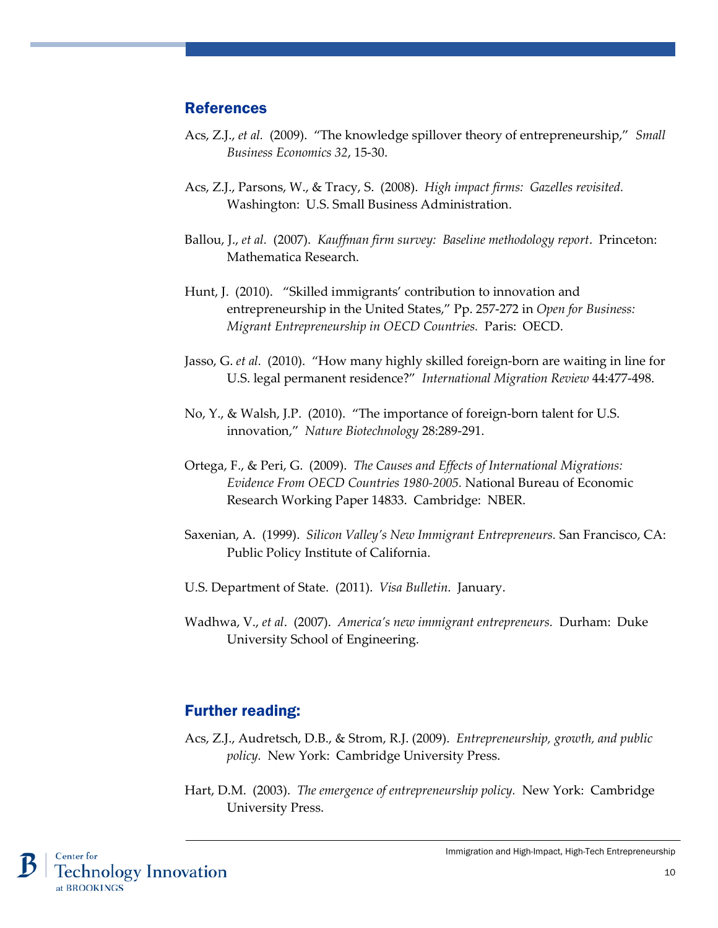## References

- Acs, Z.J., *et al.* (2009). "The knowledge spillover theory of entrepreneurship," *Small Business Economics 32*, 15-30.
- Acs, Z.J., Parsons, W., & Tracy, S. (2008). *High impact firms: Gazelles revisited.*  Washington: U.S. Small Business Administration.
- Ballou, J., *et al.* (2007). *Kauffman firm survey: Baseline methodology report*. Princeton: Mathematica Research.
- Hunt, J. (2010). "Skilled immigrants' contribution to innovation and entrepreneurship in the United States," Pp. 257-272 in *Open for Business: Migrant Entrepreneurship in OECD Countries.* Paris: OECD.
- Jasso, G. *et al.* (2010). "How many highly skilled foreign-born are waiting in line for U.S. legal permanent residence?" *International Migration Review* 44:477-498.
- No, Y., & Walsh, J.P. (2010). "The importance of foreign-born talent for U.S. innovation," *Nature Biotechnology* 28:289-291.
- Ortega, F., & Peri, G. (2009). *The Causes and Effects of International Migrations: Evidence From OECD Countries 1980-2005.* National Bureau of Economic Research Working Paper 14833. Cambridge: NBER.
- Saxenian, A. (1999). *Silicon Valley's New Immigrant Entrepreneurs.* San Francisco, CA: Public Policy Institute of California.
- U.S. Department of State. (2011). *Visa Bulletin*. January.
- Wadhwa, V., *et al*. (2007). *America's new immigrant entrepreneurs.* Durham: Duke University School of Engineering.

## Further reading:

- Acs, Z.J., Audretsch, D.B., & Strom, R.J. (2009). *Entrepreneurship, growth, and public policy.* New York: Cambridge University Press.
- Hart, D.M. (2003). *The emergence of entrepreneurship policy.* New York: Cambridge University Press.